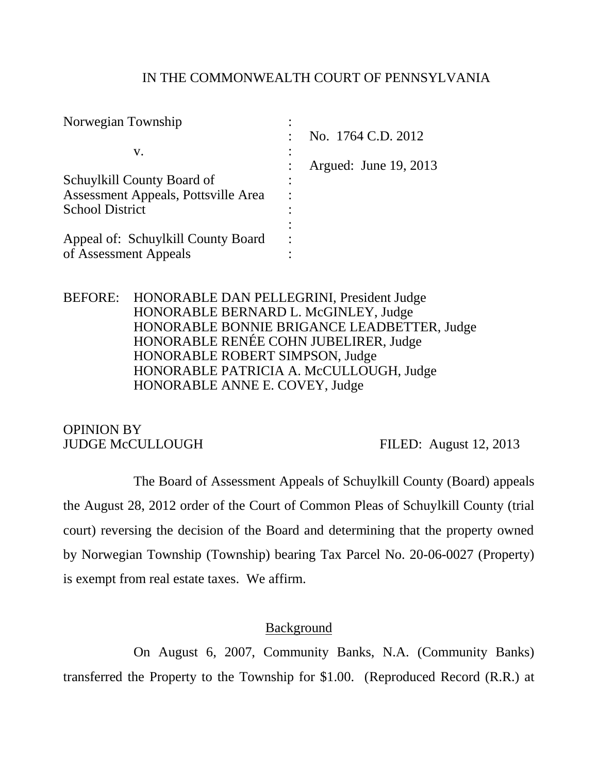### IN THE COMMONWEALTH COURT OF PENNSYLVANIA

| Norwegian Township                  |                                 |
|-------------------------------------|---------------------------------|
|                                     | No. 1764 C.D. 2012<br>$\bullet$ |
| V.                                  |                                 |
|                                     | Argued: June 19, 2013           |
| Schuylkill County Board of          |                                 |
| Assessment Appeals, Pottsville Area | ٠                               |
| <b>School District</b>              |                                 |
|                                     |                                 |
| Appeal of: Schuylkill County Board  |                                 |
| of Assessment Appeals               |                                 |

BEFORE: HONORABLE DAN PELLEGRINI, President Judge HONORABLE BERNARD L. McGINLEY, Judge HONORABLE BONNIE BRIGANCE LEADBETTER, Judge HONORABLE RENÉE COHN JUBELIRER, Judge HONORABLE ROBERT SIMPSON, Judge HONORABLE PATRICIA A. McCULLOUGH, Judge HONORABLE ANNE E. COVEY, Judge

OPINION BY JUDGE McCULLOUGH FILED: August 12, 2013

The Board of Assessment Appeals of Schuylkill County (Board) appeals the August 28, 2012 order of the Court of Common Pleas of Schuylkill County (trial court) reversing the decision of the Board and determining that the property owned by Norwegian Township (Township) bearing Tax Parcel No. 20-06-0027 (Property) is exempt from real estate taxes. We affirm.

## **Background**

On August 6, 2007, Community Banks, N.A. (Community Banks) transferred the Property to the Township for \$1.00. (Reproduced Record (R.R.) at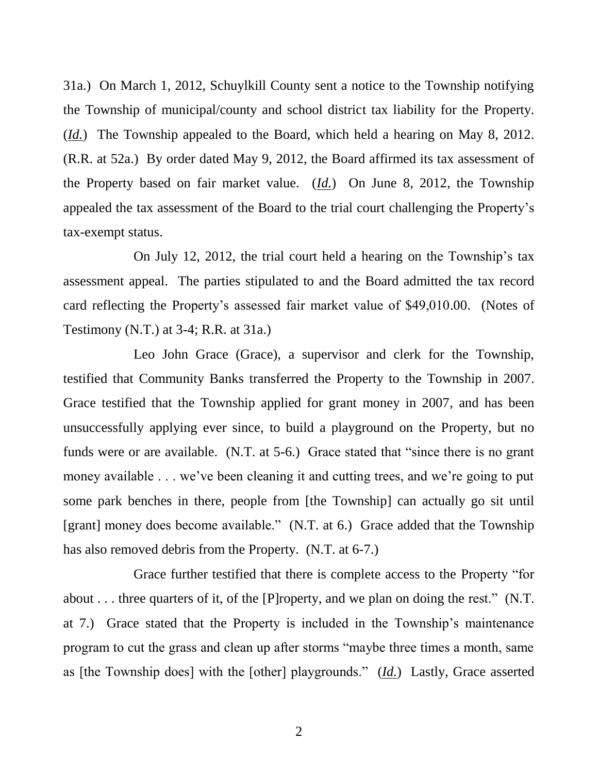31a.) On March 1, 2012, Schuylkill County sent a notice to the Township notifying the Township of municipal/county and school district tax liability for the Property. (*Id.*) The Township appealed to the Board, which held a hearing on May 8, 2012. (R.R. at 52a.) By order dated May 9, 2012, the Board affirmed its tax assessment of the Property based on fair market value. (*Id.*) On June 8, 2012, the Township appealed the tax assessment of the Board to the trial court challenging the Property's tax-exempt status.

On July 12, 2012, the trial court held a hearing on the Township's tax assessment appeal. The parties stipulated to and the Board admitted the tax record card reflecting the Property's assessed fair market value of \$49,010.00. (Notes of Testimony (N.T.) at 3-4; R.R. at 31a.)

Leo John Grace (Grace), a supervisor and clerk for the Township, testified that Community Banks transferred the Property to the Township in 2007. Grace testified that the Township applied for grant money in 2007, and has been unsuccessfully applying ever since, to build a playground on the Property, but no funds were or are available. (N.T. at 5-6.) Grace stated that "since there is no grant money available . . . we've been cleaning it and cutting trees, and we're going to put some park benches in there, people from [the Township] can actually go sit until [grant] money does become available." (N.T. at 6.) Grace added that the Township has also removed debris from the Property. (N.T. at 6-7.)

Grace further testified that there is complete access to the Property "for about . . . three quarters of it, of the [P]roperty, and we plan on doing the rest." (N.T. at 7.) Grace stated that the Property is included in the Township's maintenance program to cut the grass and clean up after storms "maybe three times a month, same as [the Township does] with the [other] playgrounds." (*Id.*) Lastly, Grace asserted

2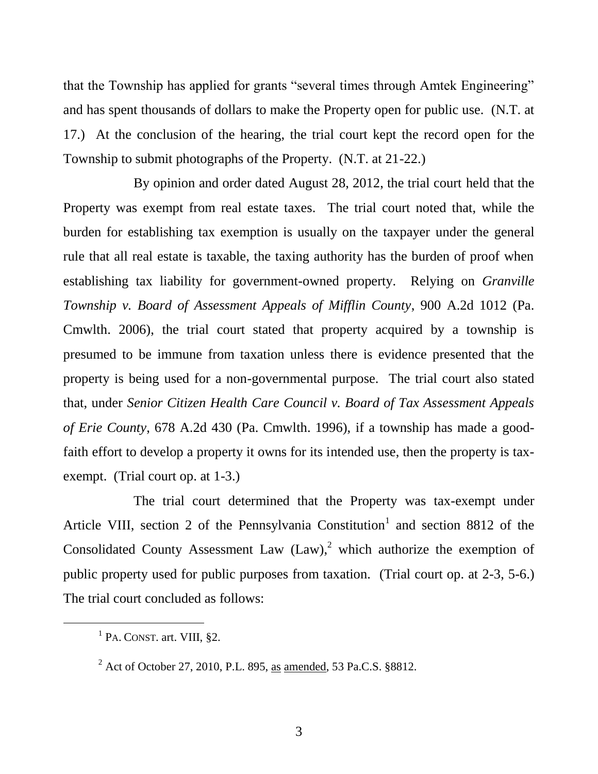that the Township has applied for grants "several times through Amtek Engineering" and has spent thousands of dollars to make the Property open for public use. (N.T. at 17.) At the conclusion of the hearing, the trial court kept the record open for the Township to submit photographs of the Property. (N.T. at 21-22.)

By opinion and order dated August 28, 2012, the trial court held that the Property was exempt from real estate taxes. The trial court noted that, while the burden for establishing tax exemption is usually on the taxpayer under the general rule that all real estate is taxable, the taxing authority has the burden of proof when establishing tax liability for government-owned property. Relying on *Granville Township v. Board of Assessment Appeals of Mifflin County*, 900 A.2d 1012 (Pa. Cmwlth. 2006), the trial court stated that property acquired by a township is presumed to be immune from taxation unless there is evidence presented that the property is being used for a non-governmental purpose. The trial court also stated that, under *Senior Citizen Health Care Council v. Board of Tax Assessment Appeals of Erie County*, 678 A.2d 430 (Pa. Cmwlth. 1996), if a township has made a goodfaith effort to develop a property it owns for its intended use, then the property is taxexempt. (Trial court op. at 1-3.)

The trial court determined that the Property was tax-exempt under Article VIII, section 2 of the Pennsylvania Constitution<sup>1</sup> and section 8812 of the Consolidated County Assessment Law  $(Law)$ , which authorize the exemption of public property used for public purposes from taxation. (Trial court op. at 2-3, 5-6.) The trial court concluded as follows:

l

<sup>&</sup>lt;sup>1</sup> PA. CONST. art. VIII, §2.

<sup>2</sup> Act of October 27, 2010, P.L. 895, as amended, 53 Pa.C.S. §8812.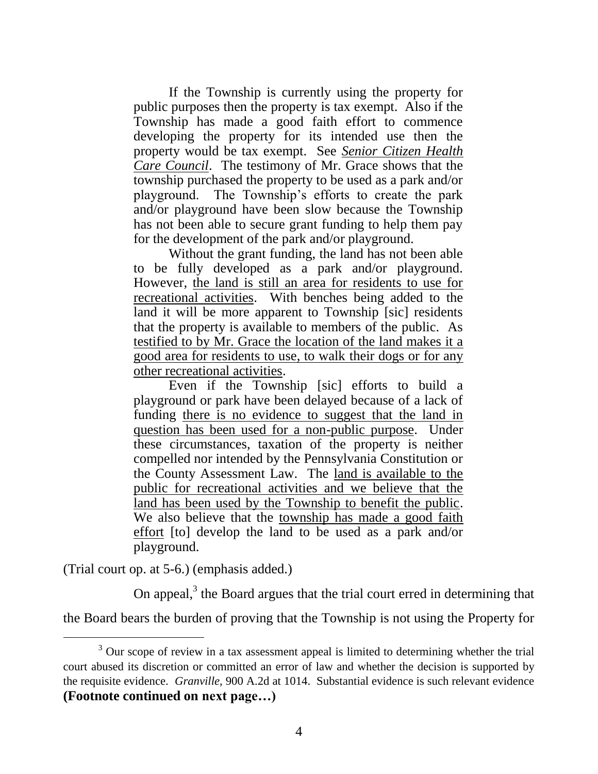If the Township is currently using the property for public purposes then the property is tax exempt. Also if the Township has made a good faith effort to commence developing the property for its intended use then the property would be tax exempt. See *Senior Citizen Health Care Council*. The testimony of Mr. Grace shows that the township purchased the property to be used as a park and/or playground. The Township's efforts to create the park and/or playground have been slow because the Township has not been able to secure grant funding to help them pay for the development of the park and/or playground.

Without the grant funding, the land has not been able to be fully developed as a park and/or playground. However, the land is still an area for residents to use for recreational activities. With benches being added to the land it will be more apparent to Township [sic] residents that the property is available to members of the public. As testified to by Mr. Grace the location of the land makes it a good area for residents to use, to walk their dogs or for any other recreational activities.

Even if the Township [sic] efforts to build a playground or park have been delayed because of a lack of funding there is no evidence to suggest that the land in question has been used for a non-public purpose. Under these circumstances, taxation of the property is neither compelled nor intended by the Pennsylvania Constitution or the County Assessment Law. The land is available to the public for recreational activities and we believe that the land has been used by the Township to benefit the public. We also believe that the township has made a good faith effort [to] develop the land to be used as a park and/or playground.

(Trial court op. at 5-6.) (emphasis added.)

l

On appeal, $3$  the Board argues that the trial court erred in determining that

the Board bears the burden of proving that the Township is not using the Property for

 $3$  Our scope of review in a tax assessment appeal is limited to determining whether the trial court abused its discretion or committed an error of law and whether the decision is supported by the requisite evidence. *Granville*, 900 A.2d at 1014. Substantial evidence is such relevant evidence **(Footnote continued on next page…)**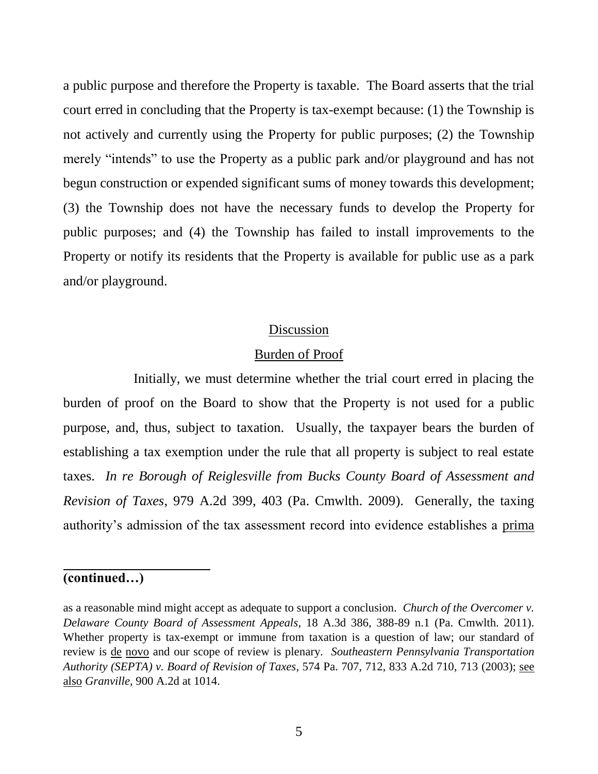a public purpose and therefore the Property is taxable. The Board asserts that the trial court erred in concluding that the Property is tax-exempt because: (1) the Township is not actively and currently using the Property for public purposes; (2) the Township merely "intends" to use the Property as a public park and/or playground and has not begun construction or expended significant sums of money towards this development; (3) the Township does not have the necessary funds to develop the Property for public purposes; and (4) the Township has failed to install improvements to the Property or notify its residents that the Property is available for public use as a park and/or playground.

## Discussion

### Burden of Proof

Initially, we must determine whether the trial court erred in placing the burden of proof on the Board to show that the Property is not used for a public purpose, and, thus, subject to taxation. Usually, the taxpayer bears the burden of establishing a tax exemption under the rule that all property is subject to real estate taxes. *In re Borough of Reiglesville from Bucks County Board of Assessment and Revision of Taxes*, 979 A.2d 399, 403 (Pa. Cmwlth. 2009). Generally, the taxing authority's admission of the tax assessment record into evidence establishes a prima

# **(continued…)**

 $\overline{a}$ 

as a reasonable mind might accept as adequate to support a conclusion. *Church of the Overcomer v. Delaware County Board of Assessment Appeals*, 18 A.3d 386, 388-89 n.1 (Pa. Cmwlth. 2011). Whether property is tax-exempt or immune from taxation is a question of law; our standard of review is de novo and our scope of review is plenary. *Southeastern Pennsylvania Transportation Authority (SEPTA) v. Board of Revision of Taxes*, 574 Pa. 707, 712, 833 A.2d 710, 713 (2003); see also *Granville*, 900 A.2d at 1014.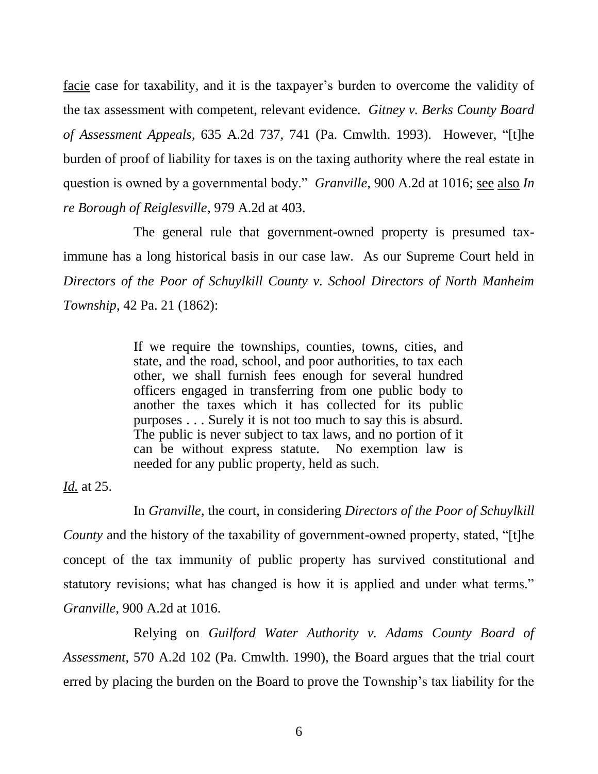facie case for taxability, and it is the taxpayer's burden to overcome the validity of the tax assessment with competent, relevant evidence. *Gitney v. Berks County Board of Assessment Appeals*, 635 A.2d 737, 741 (Pa. Cmwlth. 1993). However, "[t]he burden of proof of liability for taxes is on the taxing authority where the real estate in question is owned by a governmental body." *Granville*, 900 A.2d at 1016; see also *In re Borough of Reiglesville*, 979 A.2d at 403.

The general rule that government-owned property is presumed taximmune has a long historical basis in our case law. As our Supreme Court held in *Directors of the Poor of Schuylkill County v. School Directors of North Manheim Township*, 42 Pa. 21 (1862):

> If we require the townships, counties, towns, cities, and state, and the road, school, and poor authorities, to tax each other, we shall furnish fees enough for several hundred officers engaged in transferring from one public body to another the taxes which it has collected for its public purposes . . . Surely it is not too much to say this is absurd. The public is never subject to tax laws, and no portion of it can be without express statute. No exemption law is needed for any public property, held as such.

*Id.* at 25.

In *Granville*, the court, in considering *Directors of the Poor of Schuylkill County* and the history of the taxability of government-owned property, stated, "[t]he concept of the tax immunity of public property has survived constitutional and statutory revisions; what has changed is how it is applied and under what terms." *Granville*, 900 A.2d at 1016.

Relying on *Guilford Water Authority v. Adams County Board of Assessment*, 570 A.2d 102 (Pa. Cmwlth. 1990), the Board argues that the trial court erred by placing the burden on the Board to prove the Township's tax liability for the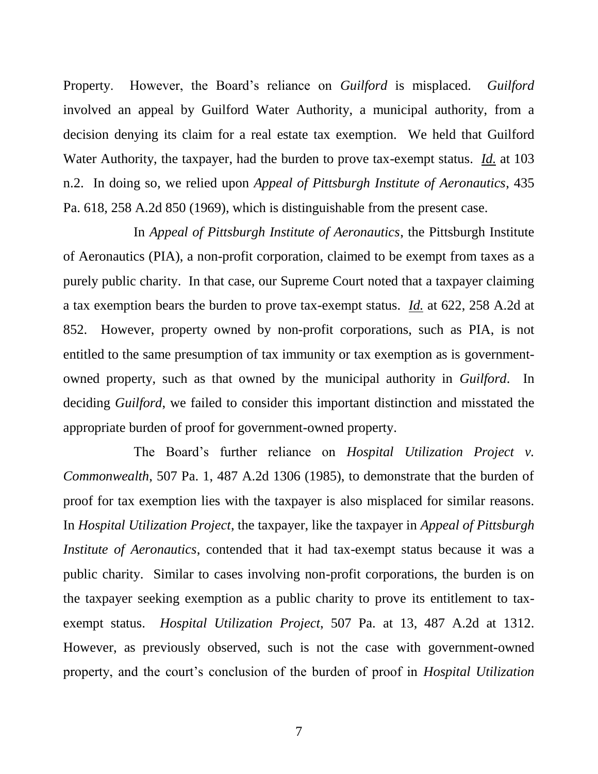Property. However, the Board's reliance on *Guilford* is misplaced. *Guilford* involved an appeal by Guilford Water Authority, a municipal authority, from a decision denying its claim for a real estate tax exemption. We held that Guilford Water Authority, the taxpayer, had the burden to prove tax-exempt status. *Id.* at 103 n.2. In doing so, we relied upon *Appeal of Pittsburgh Institute of Aeronautics*, 435 Pa. 618, 258 A.2d 850 (1969), which is distinguishable from the present case.

In *Appeal of Pittsburgh Institute of Aeronautics*, the Pittsburgh Institute of Aeronautics (PIA), a non-profit corporation, claimed to be exempt from taxes as a purely public charity. In that case, our Supreme Court noted that a taxpayer claiming a tax exemption bears the burden to prove tax-exempt status. *Id.* at 622, 258 A.2d at 852. However, property owned by non-profit corporations, such as PIA, is not entitled to the same presumption of tax immunity or tax exemption as is governmentowned property, such as that owned by the municipal authority in *Guilford*. In deciding *Guilford*, we failed to consider this important distinction and misstated the appropriate burden of proof for government-owned property.

The Board's further reliance on *Hospital Utilization Project v. Commonwealth*, 507 Pa. 1, 487 A.2d 1306 (1985), to demonstrate that the burden of proof for tax exemption lies with the taxpayer is also misplaced for similar reasons. In *Hospital Utilization Project*, the taxpayer, like the taxpayer in *Appeal of Pittsburgh Institute of Aeronautics*, contended that it had tax-exempt status because it was a public charity. Similar to cases involving non-profit corporations, the burden is on the taxpayer seeking exemption as a public charity to prove its entitlement to taxexempt status. *Hospital Utilization Project*, 507 Pa. at 13, 487 A.2d at 1312. However, as previously observed, such is not the case with government-owned property, and the court's conclusion of the burden of proof in *Hospital Utilization*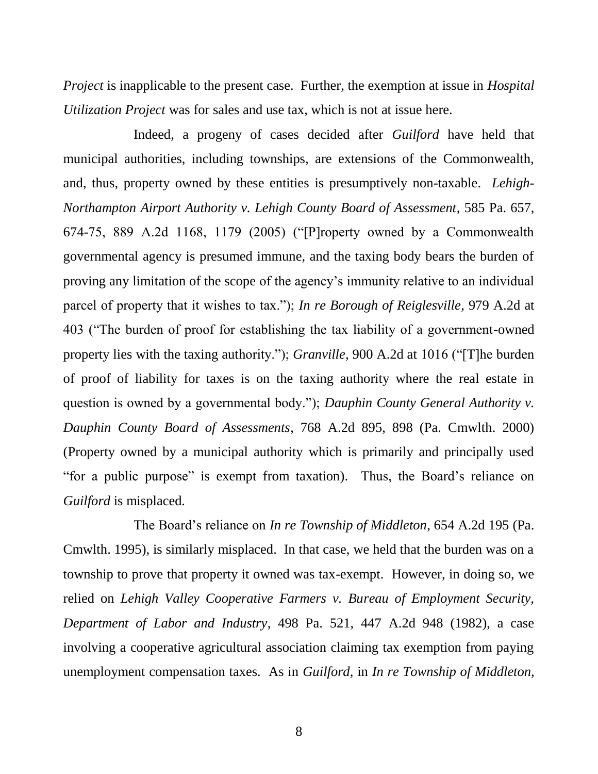*Project* is inapplicable to the present case. Further, the exemption at issue in *Hospital Utilization Project* was for sales and use tax, which is not at issue here.

Indeed, a progeny of cases decided after *Guilford* have held that municipal authorities, including townships, are extensions of the Commonwealth, and, thus, property owned by these entities is presumptively non-taxable. *Lehigh-Northampton Airport Authority v. Lehigh County Board of Assessment*, 585 Pa. 657, 674-75, 889 A.2d 1168, 1179 (2005) ("[P]roperty owned by a Commonwealth governmental agency is presumed immune, and the taxing body bears the burden of proving any limitation of the scope of the agency's immunity relative to an individual parcel of property that it wishes to tax."); *In re Borough of Reiglesville*, 979 A.2d at 403 ("The burden of proof for establishing the tax liability of a government-owned property lies with the taxing authority."); *Granville*, 900 A.2d at 1016 ("[T]he burden of proof of liability for taxes is on the taxing authority where the real estate in question is owned by a governmental body."); *Dauphin County General Authority v. Dauphin County Board of Assessments*, 768 A.2d 895, 898 (Pa. Cmwlth. 2000) (Property owned by a municipal authority which is primarily and principally used "for a public purpose" is exempt from taxation). Thus, the Board's reliance on *Guilford* is misplaced.

The Board's reliance on *In re Township of Middleton*, 654 A.2d 195 (Pa. Cmwlth. 1995), is similarly misplaced. In that case, we held that the burden was on a township to prove that property it owned was tax-exempt. However, in doing so, we relied on *Lehigh Valley Cooperative Farmers v. Bureau of Employment Security, Department of Labor and Industry*, 498 Pa. 521, 447 A.2d 948 (1982), a case involving a cooperative agricultural association claiming tax exemption from paying unemployment compensation taxes. As in *Guilford*, in *In re Township of Middleton*,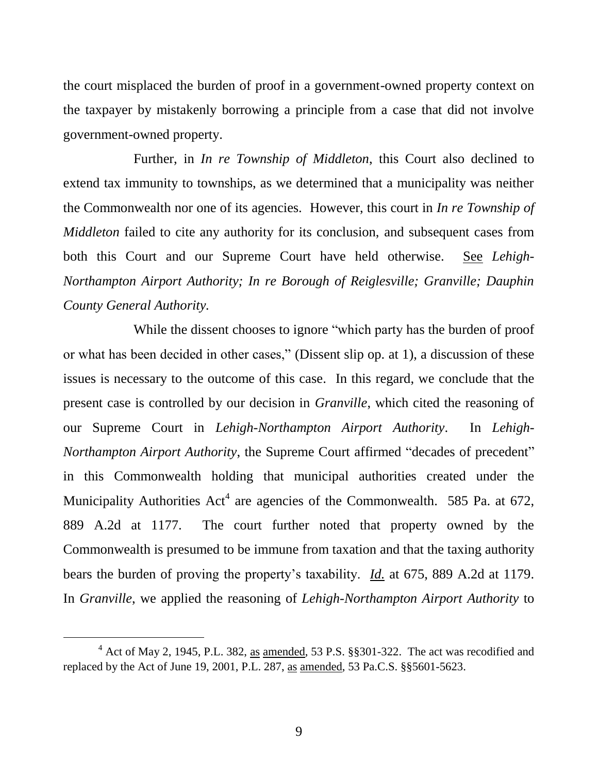the court misplaced the burden of proof in a government-owned property context on the taxpayer by mistakenly borrowing a principle from a case that did not involve government-owned property.

Further, in *In re Township of Middleton*, this Court also declined to extend tax immunity to townships, as we determined that a municipality was neither the Commonwealth nor one of its agencies. However, this court in *In re Township of Middleton* failed to cite any authority for its conclusion, and subsequent cases from both this Court and our Supreme Court have held otherwise. See *Lehigh-Northampton Airport Authority; In re Borough of Reiglesville; Granville; Dauphin County General Authority.*

While the dissent chooses to ignore "which party has the burden of proof or what has been decided in other cases," (Dissent slip op. at 1), a discussion of these issues is necessary to the outcome of this case. In this regard, we conclude that the present case is controlled by our decision in *Granville*, which cited the reasoning of our Supreme Court in *Lehigh-Northampton Airport Authority*. In *Lehigh-Northampton Airport Authority*, the Supreme Court affirmed "decades of precedent" in this Commonwealth holding that municipal authorities created under the Municipality Authorities  $Act^4$  are agencies of the Commonwealth. 585 Pa. at 672, 889 A.2d at 1177. The court further noted that property owned by the Commonwealth is presumed to be immune from taxation and that the taxing authority bears the burden of proving the property's taxability. *Id.* at 675, 889 A.2d at 1179. In *Granville*, we applied the reasoning of *Lehigh-Northampton Airport Authority* to

l

<sup>&</sup>lt;sup>4</sup> Act of May 2, 1945, P.L. 382, as amended, 53 P.S. §§301-322. The act was recodified and replaced by the Act of June 19, 2001, P.L. 287, as amended, 53 Pa.C.S. §§5601-5623.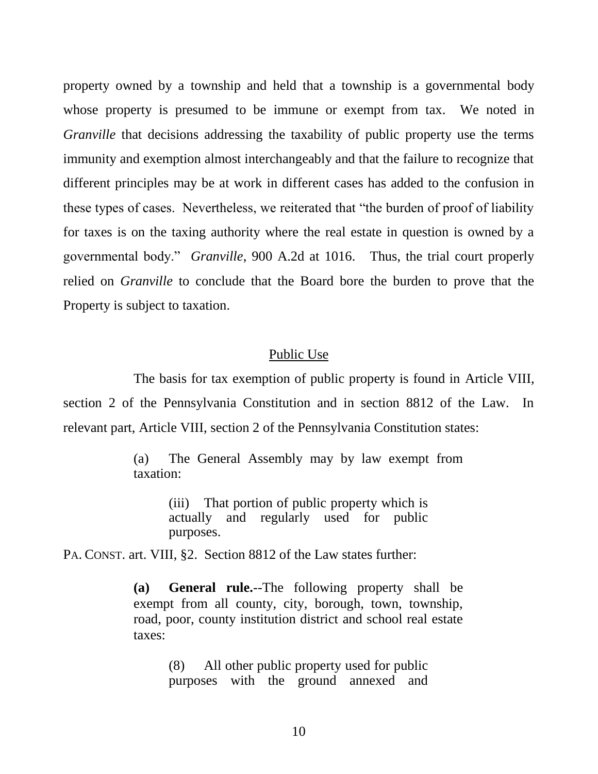property owned by a township and held that a township is a governmental body whose property is presumed to be immune or exempt from tax. We noted in *Granville* that decisions addressing the taxability of public property use the terms immunity and exemption almost interchangeably and that the failure to recognize that different principles may be at work in different cases has added to the confusion in these types of cases. Nevertheless, we reiterated that "the burden of proof of liability for taxes is on the taxing authority where the real estate in question is owned by a governmental body." *Granville*, 900 A.2d at 1016. Thus, the trial court properly relied on *Granville* to conclude that the Board bore the burden to prove that the Property is subject to taxation.

#### Public Use

The basis for tax exemption of public property is found in Article VIII, section 2 of the Pennsylvania Constitution and in section 8812 of the Law. In relevant part, Article VIII, section 2 of the Pennsylvania Constitution states:

> (a) The General Assembly may by law exempt from taxation:

> > (iii) That portion of public property which is actually and regularly used for public purposes.

PA. CONST. art. VIII, §2. Section 8812 of the Law states further:

**(a) General rule.**--The following property shall be exempt from all county, city, borough, town, township, road, poor, county institution district and school real estate taxes:

> (8) All other public property used for public purposes with the ground annexed and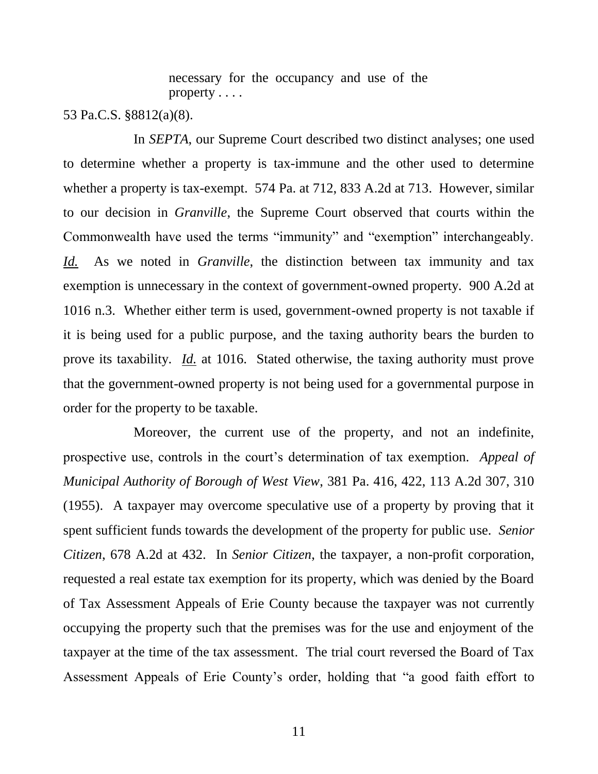necessary for the occupancy and use of the property . . . .

53 Pa.C.S. §8812(a)(8).

In *SEPTA*, our Supreme Court described two distinct analyses; one used to determine whether a property is tax-immune and the other used to determine whether a property is tax-exempt. 574 Pa. at 712, 833 A.2d at 713. However, similar to our decision in *Granville*, the Supreme Court observed that courts within the Commonwealth have used the terms "immunity" and "exemption" interchangeably. *Id.* As we noted in *Granville*, the distinction between tax immunity and tax exemption is unnecessary in the context of government-owned property. 900 A.2d at 1016 n.3. Whether either term is used, government-owned property is not taxable if it is being used for a public purpose, and the taxing authority bears the burden to prove its taxability. *Id.* at 1016. Stated otherwise, the taxing authority must prove that the government-owned property is not being used for a governmental purpose in order for the property to be taxable.

Moreover, the current use of the property, and not an indefinite, prospective use, controls in the court's determination of tax exemption. *Appeal of Municipal Authority of Borough of West View*, 381 Pa. 416, 422, 113 A.2d 307, 310 (1955). A taxpayer may overcome speculative use of a property by proving that it spent sufficient funds towards the development of the property for public use. *Senior Citizen*, 678 A.2d at 432. In *Senior Citizen*, the taxpayer, a non-profit corporation, requested a real estate tax exemption for its property, which was denied by the Board of Tax Assessment Appeals of Erie County because the taxpayer was not currently occupying the property such that the premises was for the use and enjoyment of the taxpayer at the time of the tax assessment. The trial court reversed the Board of Tax Assessment Appeals of Erie County's order, holding that "a good faith effort to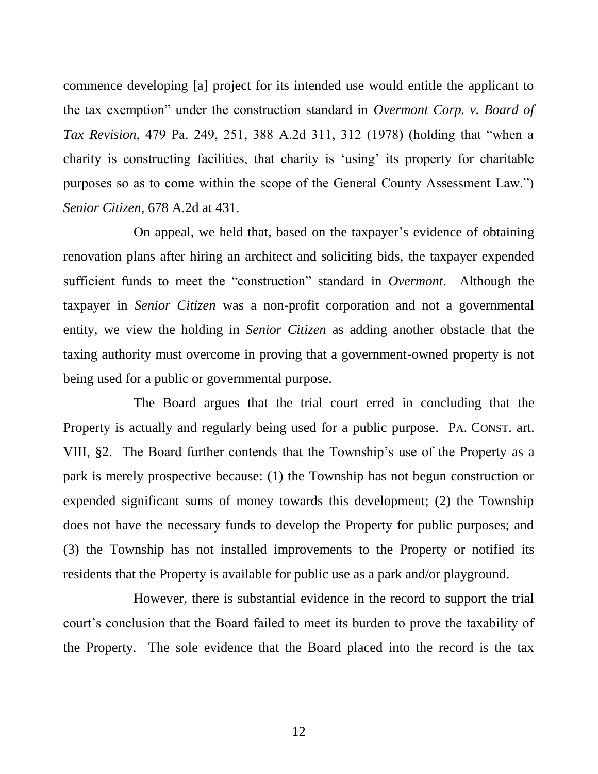commence developing [a] project for its intended use would entitle the applicant to the tax exemption" under the construction standard in *Overmont Corp. v. Board of Tax Revision*, 479 Pa. 249, 251, 388 A.2d 311, 312 (1978) (holding that "when a charity is constructing facilities, that charity is 'using' its property for charitable purposes so as to come within the scope of the General County Assessment Law.") *Senior Citizen*, 678 A.2d at 431.

On appeal, we held that, based on the taxpayer's evidence of obtaining renovation plans after hiring an architect and soliciting bids, the taxpayer expended sufficient funds to meet the "construction" standard in *Overmont*. Although the taxpayer in *Senior Citizen* was a non-profit corporation and not a governmental entity, we view the holding in *Senior Citizen* as adding another obstacle that the taxing authority must overcome in proving that a government-owned property is not being used for a public or governmental purpose.

The Board argues that the trial court erred in concluding that the Property is actually and regularly being used for a public purpose. PA. CONST. art. VIII, §2. The Board further contends that the Township's use of the Property as a park is merely prospective because: (1) the Township has not begun construction or expended significant sums of money towards this development; (2) the Township does not have the necessary funds to develop the Property for public purposes; and (3) the Township has not installed improvements to the Property or notified its residents that the Property is available for public use as a park and/or playground.

However, there is substantial evidence in the record to support the trial court's conclusion that the Board failed to meet its burden to prove the taxability of the Property. The sole evidence that the Board placed into the record is the tax

12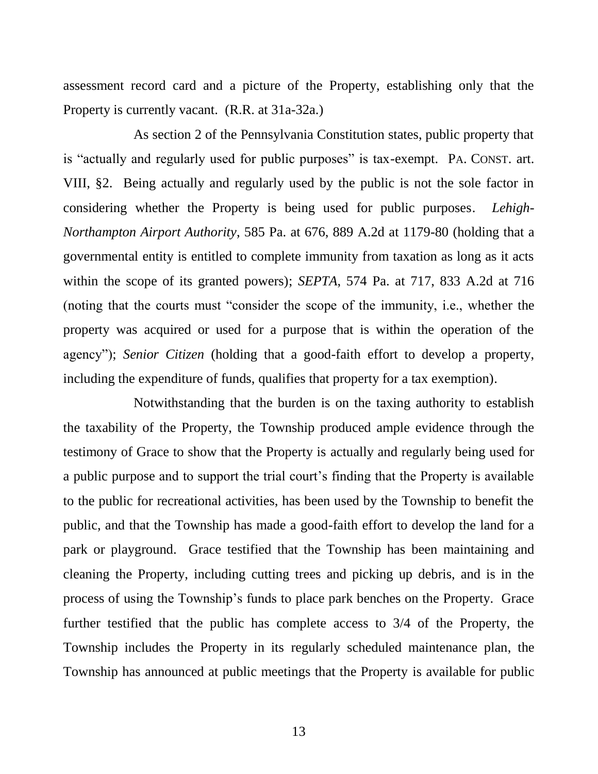assessment record card and a picture of the Property, establishing only that the Property is currently vacant. (R.R. at 31a-32a.)

As section 2 of the Pennsylvania Constitution states, public property that is "actually and regularly used for public purposes" is tax-exempt. PA. CONST. art. VIII, §2. Being actually and regularly used by the public is not the sole factor in considering whether the Property is being used for public purposes. *Lehigh-Northampton Airport Authority*, 585 Pa. at 676, 889 A.2d at 1179-80 (holding that a governmental entity is entitled to complete immunity from taxation as long as it acts within the scope of its granted powers); *SEPTA*, 574 Pa. at 717, 833 A.2d at 716 (noting that the courts must "consider the scope of the immunity, i.e., whether the property was acquired or used for a purpose that is within the operation of the agency"); *Senior Citizen* (holding that a good-faith effort to develop a property, including the expenditure of funds, qualifies that property for a tax exemption).

Notwithstanding that the burden is on the taxing authority to establish the taxability of the Property, the Township produced ample evidence through the testimony of Grace to show that the Property is actually and regularly being used for a public purpose and to support the trial court's finding that the Property is available to the public for recreational activities, has been used by the Township to benefit the public, and that the Township has made a good-faith effort to develop the land for a park or playground. Grace testified that the Township has been maintaining and cleaning the Property, including cutting trees and picking up debris, and is in the process of using the Township's funds to place park benches on the Property. Grace further testified that the public has complete access to 3/4 of the Property, the Township includes the Property in its regularly scheduled maintenance plan, the Township has announced at public meetings that the Property is available for public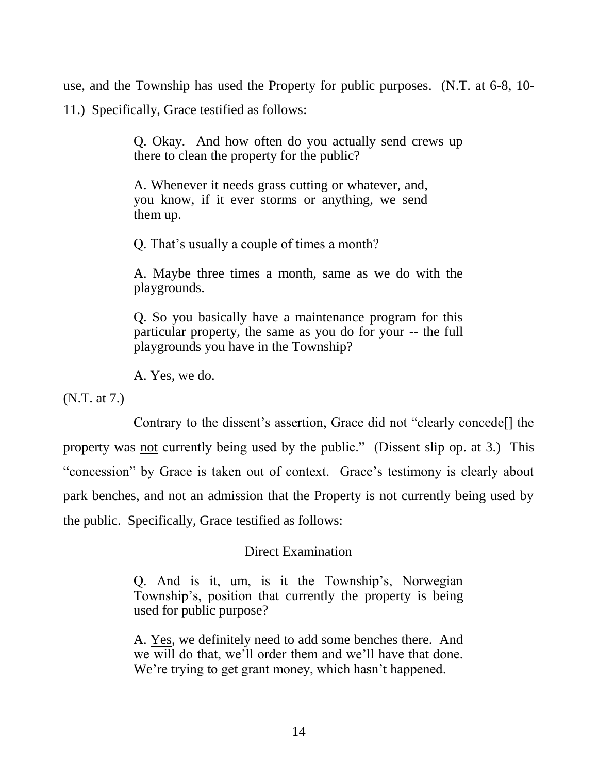use, and the Township has used the Property for public purposes. (N.T. at 6-8, 10- 11.) Specifically, Grace testified as follows:

> Q. Okay. And how often do you actually send crews up there to clean the property for the public?

A. Whenever it needs grass cutting or whatever, and, you know, if it ever storms or anything, we send them up.

Q. That's usually a couple of times a month?

A. Maybe three times a month, same as we do with the playgrounds.

Q. So you basically have a maintenance program for this particular property, the same as you do for your -- the full playgrounds you have in the Township?

A. Yes, we do.

(N.T. at 7.)

Contrary to the dissent's assertion, Grace did not "clearly concede[] the property was not currently being used by the public." (Dissent slip op. at 3.) This "concession" by Grace is taken out of context. Grace's testimony is clearly about park benches, and not an admission that the Property is not currently being used by the public. Specifically, Grace testified as follows:

## Direct Examination

Q. And is it, um, is it the Township's, Norwegian Township's, position that currently the property is being used for public purpose?

A. Yes, we definitely need to add some benches there. And we will do that, we'll order them and we'll have that done. We're trying to get grant money, which hasn't happened.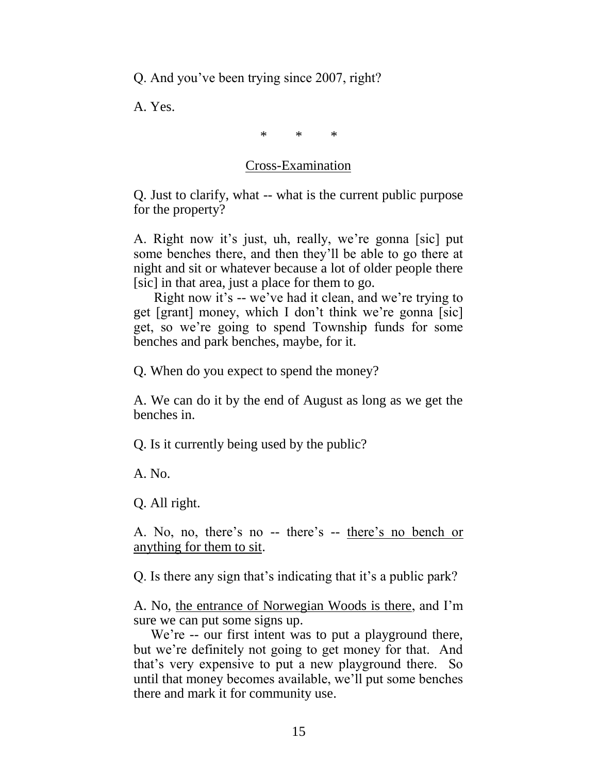Q. And you've been trying since 2007, right?

A. Yes.

\* \* \*

## Cross-Examination

Q. Just to clarify, what -- what is the current public purpose for the property?

A. Right now it's just, uh, really, we're gonna [sic] put some benches there, and then they'll be able to go there at night and sit or whatever because a lot of older people there [sic] in that area, just a place for them to go.

 Right now it's -- we've had it clean, and we're trying to get [grant] money, which I don't think we're gonna [sic] get, so we're going to spend Township funds for some benches and park benches, maybe, for it.

Q. When do you expect to spend the money?

A. We can do it by the end of August as long as we get the benches in.

Q. Is it currently being used by the public?

A. No.

Q. All right.

A. No, no, there's no -- there's -- there's no bench or anything for them to sit.

Q. Is there any sign that's indicating that it's a public park?

A. No, the entrance of Norwegian Woods is there, and I'm sure we can put some signs up.

We're -- our first intent was to put a playground there, but we're definitely not going to get money for that. And that's very expensive to put a new playground there. So until that money becomes available, we'll put some benches there and mark it for community use.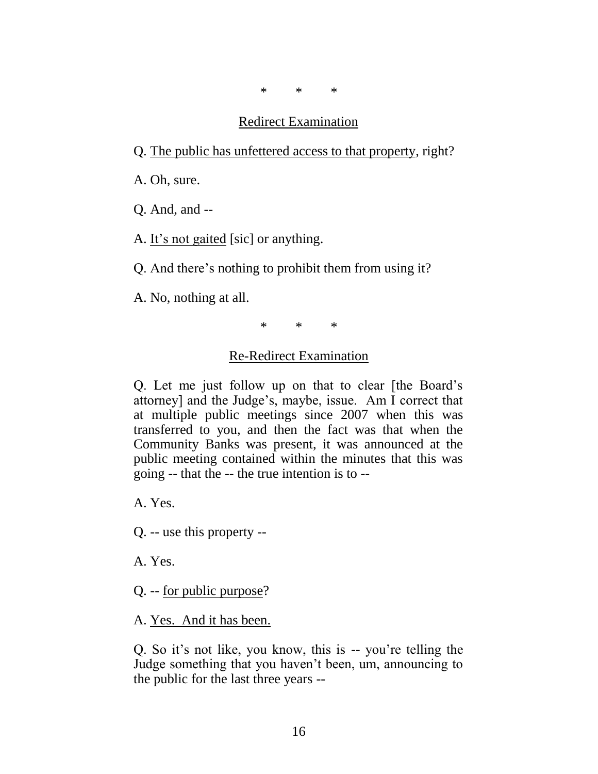\* \* \*

#### Redirect Examination

Q. The public has unfettered access to that property, right?

A. Oh, sure.

Q. And, and --

A. It's not gaited [sic] or anything.

Q. And there's nothing to prohibit them from using it?

A. No, nothing at all.

\* \* \*

#### Re-Redirect Examination

Q. Let me just follow up on that to clear [the Board's attorney] and the Judge's, maybe, issue. Am I correct that at multiple public meetings since 2007 when this was transferred to you, and then the fact was that when the Community Banks was present, it was announced at the public meeting contained within the minutes that this was going -- that the -- the true intention is to --

A. Yes.

Q. -- use this property --

A. Yes.

Q. -- for public purpose?

A. Yes. And it has been.

Q. So it's not like, you know, this is -- you're telling the Judge something that you haven't been, um, announcing to the public for the last three years --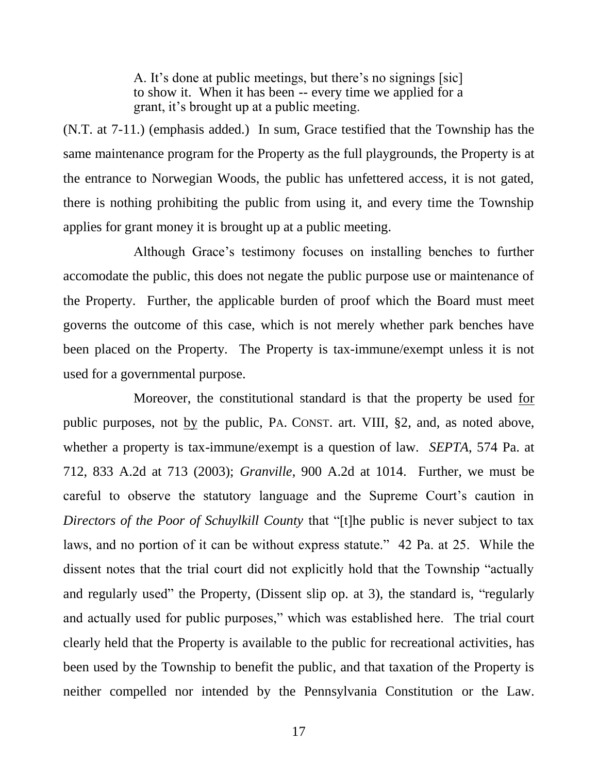A. It's done at public meetings, but there's no signings [sic] to show it. When it has been -- every time we applied for a grant, it's brought up at a public meeting.

(N.T. at 7-11.) (emphasis added.) In sum, Grace testified that the Township has the same maintenance program for the Property as the full playgrounds, the Property is at the entrance to Norwegian Woods, the public has unfettered access, it is not gated, there is nothing prohibiting the public from using it, and every time the Township applies for grant money it is brought up at a public meeting.

Although Grace's testimony focuses on installing benches to further accomodate the public, this does not negate the public purpose use or maintenance of the Property. Further, the applicable burden of proof which the Board must meet governs the outcome of this case, which is not merely whether park benches have been placed on the Property. The Property is tax-immune/exempt unless it is not used for a governmental purpose.

Moreover, the constitutional standard is that the property be used for public purposes, not by the public, PA. CONST. art. VIII, §2, and, as noted above, whether a property is tax-immune/exempt is a question of law. *SEPTA*, 574 Pa. at 712, 833 A.2d at 713 (2003); *Granville*, 900 A.2d at 1014. Further, we must be careful to observe the statutory language and the Supreme Court's caution in *Directors of the Poor of Schuylkill County* that "[t]he public is never subject to tax laws, and no portion of it can be without express statute." 42 Pa. at 25. While the dissent notes that the trial court did not explicitly hold that the Township "actually and regularly used" the Property, (Dissent slip op. at 3), the standard is, "regularly and actually used for public purposes," which was established here. The trial court clearly held that the Property is available to the public for recreational activities, has been used by the Township to benefit the public, and that taxation of the Property is neither compelled nor intended by the Pennsylvania Constitution or the Law.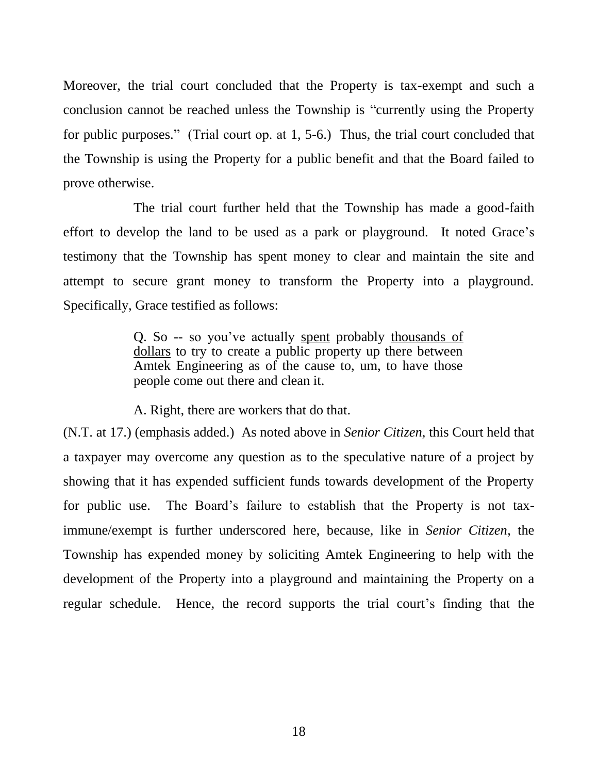Moreover, the trial court concluded that the Property is tax-exempt and such a conclusion cannot be reached unless the Township is "currently using the Property for public purposes." (Trial court op. at 1, 5-6.) Thus, the trial court concluded that the Township is using the Property for a public benefit and that the Board failed to prove otherwise.

The trial court further held that the Township has made a good-faith effort to develop the land to be used as a park or playground. It noted Grace's testimony that the Township has spent money to clear and maintain the site and attempt to secure grant money to transform the Property into a playground. Specifically, Grace testified as follows:

> Q. So -- so you've actually spent probably thousands of dollars to try to create a public property up there between Amtek Engineering as of the cause to, um, to have those people come out there and clean it.

A. Right, there are workers that do that.

(N.T. at 17.) (emphasis added.) As noted above in *Senior Citizen*, this Court held that a taxpayer may overcome any question as to the speculative nature of a project by showing that it has expended sufficient funds towards development of the Property for public use. The Board's failure to establish that the Property is not taximmune/exempt is further underscored here, because, like in *Senior Citizen*, the Township has expended money by soliciting Amtek Engineering to help with the development of the Property into a playground and maintaining the Property on a regular schedule. Hence, the record supports the trial court's finding that the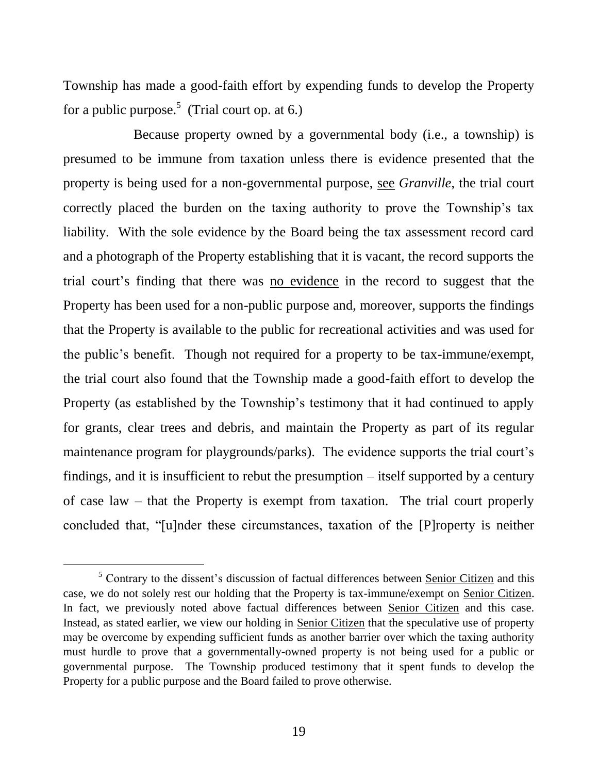Township has made a good-faith effort by expending funds to develop the Property for a public purpose.<sup>5</sup> (Trial court op. at 6.)

Because property owned by a governmental body (i.e., a township) is presumed to be immune from taxation unless there is evidence presented that the property is being used for a non-governmental purpose, see *Granville*, the trial court correctly placed the burden on the taxing authority to prove the Township's tax liability. With the sole evidence by the Board being the tax assessment record card and a photograph of the Property establishing that it is vacant, the record supports the trial court's finding that there was no evidence in the record to suggest that the Property has been used for a non-public purpose and, moreover, supports the findings that the Property is available to the public for recreational activities and was used for the public's benefit. Though not required for a property to be tax-immune/exempt, the trial court also found that the Township made a good-faith effort to develop the Property (as established by the Township's testimony that it had continued to apply for grants, clear trees and debris, and maintain the Property as part of its regular maintenance program for playgrounds/parks). The evidence supports the trial court's findings, and it is insufficient to rebut the presumption – itself supported by a century of case law – that the Property is exempt from taxation. The trial court properly concluded that, "[u]nder these circumstances, taxation of the [P]roperty is neither

l

<sup>&</sup>lt;sup>5</sup> Contrary to the dissent's discussion of factual differences between Senior Citizen and this case, we do not solely rest our holding that the Property is tax-immune/exempt on Senior Citizen. In fact, we previously noted above factual differences between Senior Citizen and this case. Instead, as stated earlier, we view our holding in Senior Citizen that the speculative use of property may be overcome by expending sufficient funds as another barrier over which the taxing authority must hurdle to prove that a governmentally-owned property is not being used for a public or governmental purpose. The Township produced testimony that it spent funds to develop the Property for a public purpose and the Board failed to prove otherwise.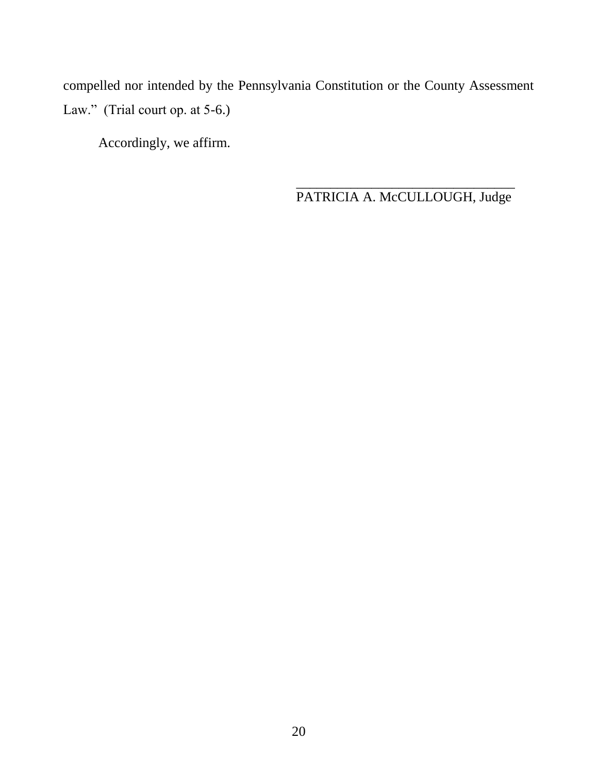compelled nor intended by the Pennsylvania Constitution or the County Assessment Law." (Trial court op. at 5-6.)

Accordingly, we affirm.

\_\_\_\_\_\_\_\_\_\_\_\_\_\_\_\_\_\_\_\_\_\_\_\_\_\_\_\_\_\_\_\_ PATRICIA A. McCULLOUGH, Judge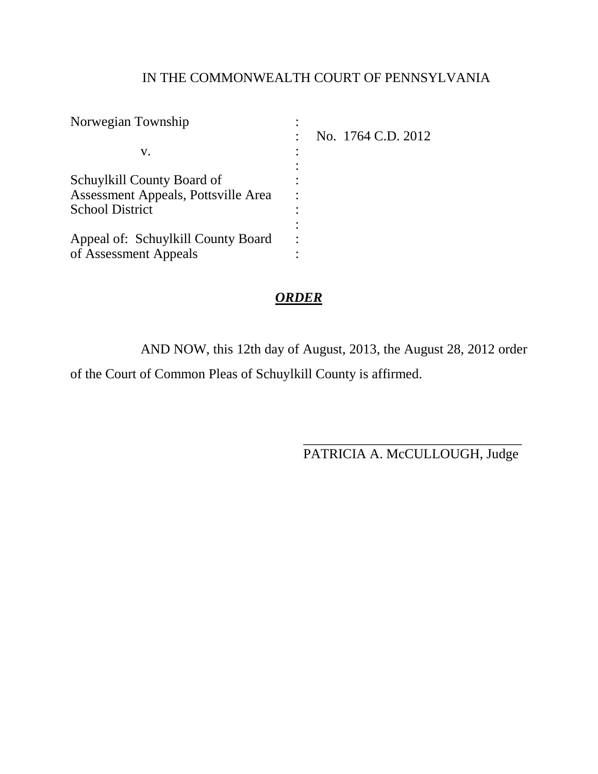# IN THE COMMONWEALTH COURT OF PENNSYLVANIA

|  | No. 1764 C.D. 2012 |
|--|--------------------|

# *ORDER*

AND NOW, this 12th day of August, 2013, the August 28, 2012 order of the Court of Common Pleas of Schuylkill County is affirmed.

> \_\_\_\_\_\_\_\_\_\_\_\_\_\_\_\_\_\_\_\_\_\_\_\_\_\_\_\_\_\_\_\_ PATRICIA A. McCULLOUGH, Judge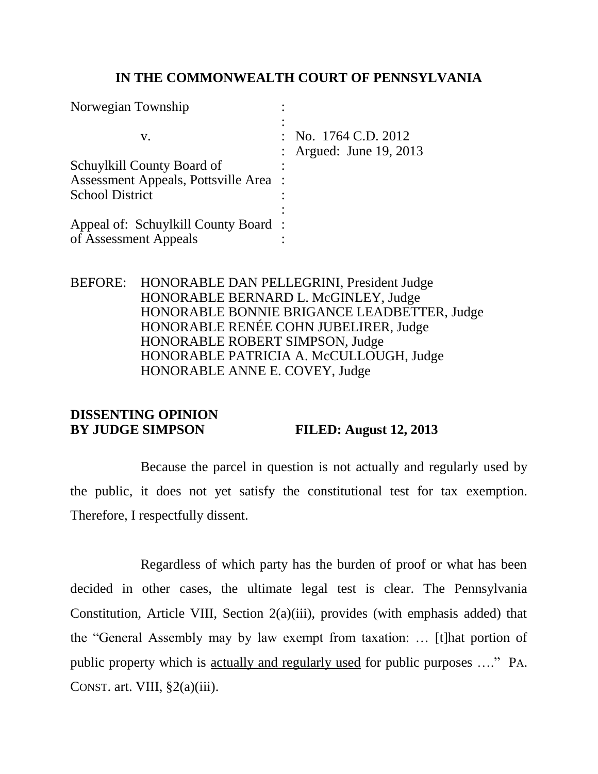## **IN THE COMMONWEALTH COURT OF PENNSYLVANIA**

| Norwegian Township                    |                                                   |
|---------------------------------------|---------------------------------------------------|
| V.                                    | : No. $1764$ C.D. $2012$<br>Argued: June 19, 2013 |
| Schuylkill County Board of            |                                                   |
| Assessment Appeals, Pottsville Area : |                                                   |
| <b>School District</b>                |                                                   |
|                                       |                                                   |
| Appeal of: Schuylkill County Board:   |                                                   |
| of Assessment Appeals                 |                                                   |

BEFORE: HONORABLE DAN PELLEGRINI, President Judge HONORABLE BERNARD L. McGINLEY, Judge HONORABLE BONNIE BRIGANCE LEADBETTER, Judge HONORABLE RENÉE COHN JUBELIRER, Judge HONORABLE ROBERT SIMPSON, Judge HONORABLE PATRICIA A. McCULLOUGH, Judge HONORABLE ANNE E. COVEY, Judge

# **DISSENTING OPINION BY JUDGE SIMPSON FILED: August 12, 2013**

Because the parcel in question is not actually and regularly used by the public, it does not yet satisfy the constitutional test for tax exemption. Therefore, I respectfully dissent.

Regardless of which party has the burden of proof or what has been decided in other cases, the ultimate legal test is clear. The Pennsylvania Constitution, Article VIII, Section 2(a)(iii), provides (with emphasis added) that the "General Assembly may by law exempt from taxation: … [t]hat portion of public property which is actually and regularly used for public purposes …." PA. CONST. art. VIII,  $\S2(a)(iii)$ .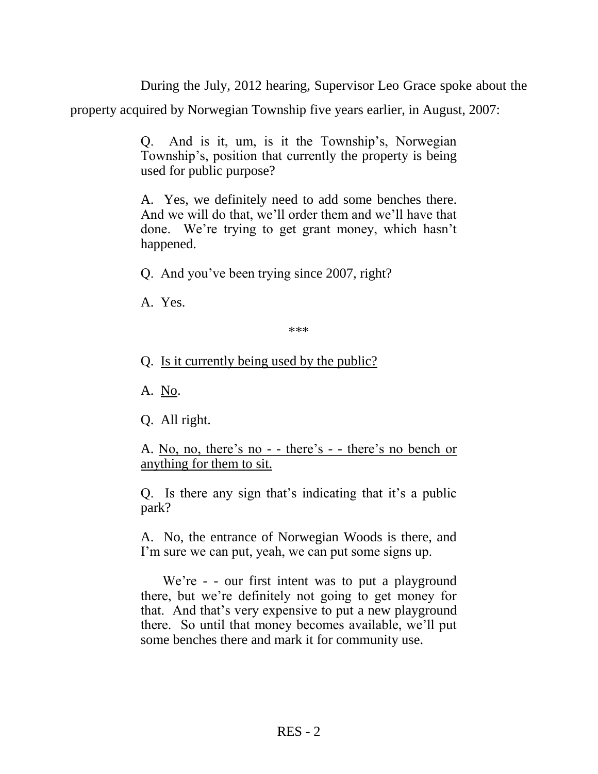During the July, 2012 hearing, Supervisor Leo Grace spoke about the

property acquired by Norwegian Township five years earlier, in August, 2007:

Q. And is it, um, is it the Township's, Norwegian Township's, position that currently the property is being used for public purpose?

A. Yes, we definitely need to add some benches there. And we will do that, we'll order them and we'll have that done. We're trying to get grant money, which hasn't happened.

Q. And you've been trying since 2007, right?

A. Yes.

\*\*\*

Q. Is it currently being used by the public?

A. No.

Q. All right.

A. No, no, there's no - - there's - - there's no bench or anything for them to sit.

Q. Is there any sign that's indicating that it's a public park?

A. No, the entrance of Norwegian Woods is there, and I'm sure we can put, yeah, we can put some signs up.

We're - - our first intent was to put a playground there, but we're definitely not going to get money for that. And that's very expensive to put a new playground there. So until that money becomes available, we'll put some benches there and mark it for community use.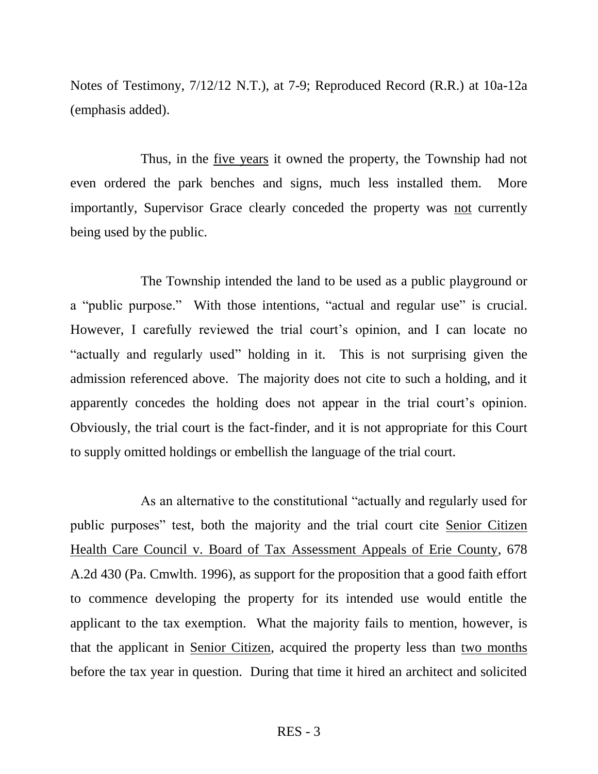Notes of Testimony, 7/12/12 N.T.), at 7-9; Reproduced Record (R.R.) at 10a-12a (emphasis added).

Thus, in the five years it owned the property, the Township had not even ordered the park benches and signs, much less installed them. More importantly, Supervisor Grace clearly conceded the property was not currently being used by the public.

The Township intended the land to be used as a public playground or a "public purpose." With those intentions, "actual and regular use" is crucial. However, I carefully reviewed the trial court's opinion, and I can locate no "actually and regularly used" holding in it. This is not surprising given the admission referenced above. The majority does not cite to such a holding, and it apparently concedes the holding does not appear in the trial court's opinion. Obviously, the trial court is the fact-finder, and it is not appropriate for this Court to supply omitted holdings or embellish the language of the trial court.

As an alternative to the constitutional "actually and regularly used for public purposes" test, both the majority and the trial court cite Senior Citizen Health Care Council v. Board of Tax Assessment Appeals of Erie County, 678 A.2d 430 (Pa. Cmwlth. 1996), as support for the proposition that a good faith effort to commence developing the property for its intended use would entitle the applicant to the tax exemption. What the majority fails to mention, however, is that the applicant in Senior Citizen, acquired the property less than two months before the tax year in question. During that time it hired an architect and solicited